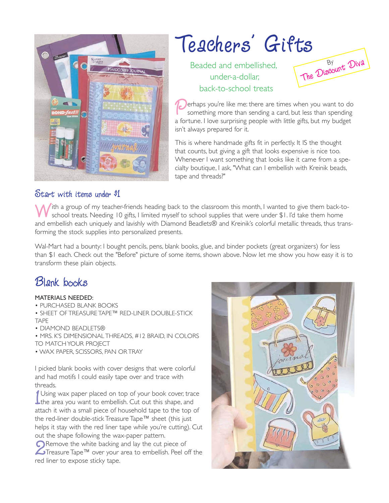

### Teachers' Gifts Beaded and embellished, under-a-dollar, back-to-school treats The Diseount Diva

**Perhaps you're like me: there are times when you want to do something more than sending a card, but less than spending a fortune I love surprising people with little gifts but my budget.** something more than sending a card, but less than spending a fortune. I love surprising people with little gifts, but my budget isn't always prepared for it.

This is where handmade gifts fit in perfectly. It IS the thought that counts, but giving a gift that looks expensive is nice too. Whenever I want something that looks like it came from a specialty boutique, I ask, "What can I embellish with Kreinik beads, tape and threads?"

### Start with items under \$1

With a group of my teacher-friends heading back to the classroom this month, I wanted to give them back-toschool treats. Needing 10 gifts, I limited myself to school supplies that were under \$1. I'd take them home and embellish each uniquely and lavishly with Diamond Beadlets® and Kreinik's colorful metallic threads, thus transforming the stock supplies into personalized presents.

Wal-Mart had a bounty: I bought pencils, pens, blank books, glue, and binder pockets (great organizers) for less than \$1 each. Check out the "Before" picture of some items, shown above. Now let me show you how easy it is to transform these plain objects.

### Blank books

#### MATERIALS NEEDED:

• PURCHASED BLANK BOOKS

• SHEET OF TREASURE TAPE™ RED-LINER DOUBLE-STICK TAPE

- DIAMOND BEADLETS®
- MRS. K'S DIMENSIONAL THREADS, #12 BRAID, IN COLORS TO MATCH YOUR PROJECT
- WAX PAPER, SCISSORS, PAN OR TRAY

I picked blank books with cover designs that were colorful and had motifs I could easily tape over and trace with threads.

 $\frac{1}{1}$ Using wax paper placed on top of your book cover, trace the area you want to embellish. Cut out this shape, and attach it with a small piece of household tape to the top of the red-liner double-stick Treasure Tape™ sheet (this just helps it stay with the red liner tape while you're cutting). Cut out the shape following the wax-paper pattern.

 $\sum$  Remove the white backing and lay the cut piece of Treasure Tape<sup>TM</sup> over your area to embellish. Peel or ed liner to expose sticky tape Treasure Tape™ over your area to embellish. Peel off the red liner to expose sticky tape.

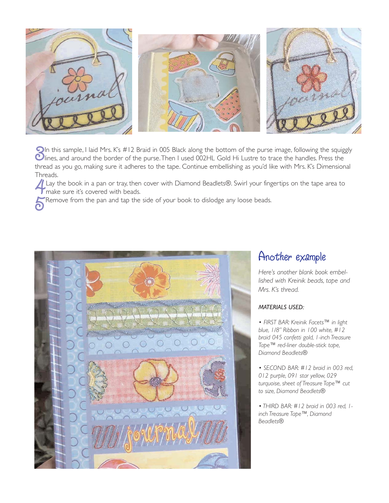

**3**In this sample, I laid Mrs. K's #12 Braid in 005 Black along the bottom of the purse image, following the squiggly  $\bullet$  lines, and around the border of the purse. Then I used 002HL Gold Hi Lustre to trace the handles. lines, and around the border of the purse.Then I used 002HL Gold Hi Lustre to trace the handles. Press the thread as you go, making sure it adheres to the tape. Continue embellishing as you'd like with Mrs. K's Dimensional Threads.

4Lay the book in a pan or tray, then cover with Diamond Beadlets®. Swirl your fingertips on the tape area to I make sure it's covered with beads.

**FRemove from the pan and tap the side of your book to dislodge any loose beads.** 



## Another example

*Here's another blank book embellished with Kreinik beads, tape and Mrs. K's thread.*

#### *MATERIALS USED:*

*• FIRST BAR: Kreinik Facets™ in light blue, 1/8" Ribbon in 100 white, #12 braid 045 confetti gold, 1-inch Treasure Tape™ red-liner double-stick tape, Diamond Beadlets®*

*• SECOND BAR: #12 braid in 003 red, 012 purple, 091 star yellow, 029 turquoise, sheet of Treasure Tape™ cut to size, Diamond Beadlets®*

*• THIRD BAR: #12 braid in 003 red, 1 inch Treasure Tape™, Diamond Beadlets®*